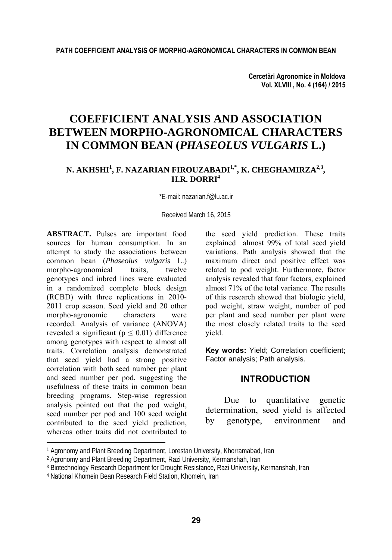**Cercetări Agronomice în Moldova Vol. XLVIII , No. 4 (164) / 2015** 

# **COEFFICIENT ANALYSIS AND ASSOCIATION BETWEEN MORPHO-AGRONOMICAL CHARACTERS IN COMMON BEAN (***PHASEOLUS VULGARIS* **L.)**

## N. AKHSHI<sup>1</sup>, F. NAZARIAN FIROUZABADI<sup>1,\*</sup>, K. CHEGHAMIRZA<sup>2,3</sup>, **H.R. DORRI4**

\*E-mail: nazarian.f@lu.ac.ir

Received March 16, 2015

**ABSTRACT.** Pulses are important food sources for human consumption. In an attempt to study the associations between common bean (*Phaseolus vulgaris* L.) morpho-agronomical traits, twelve genotypes and inbred lines were evaluated in a randomized complete block design (RCBD) with three replications in 2010- 2011 crop season. Seed yield and 20 other morpho-agronomic characters were recorded. Analysis of variance (ANOVA) revealed a significant ( $p \le 0.01$ ) difference among genotypes with respect to almost all traits. Correlation analysis demonstrated that seed yield had a strong positive correlation with both seed number per plant and seed number per pod, suggesting the usefulness of these traits in common bean breeding programs. Step-wise regression analysis pointed out that the pod weight, seed number per pod and 100 seed weight contributed to the seed yield prediction, whereas other traits did not contributed to

l

the seed yield prediction. These traits explained almost 99% of total seed yield variations. Path analysis showed that the maximum direct and positive effect was related to pod weight. Furthermore, factor analysis revealed that four factors, explained almost 71% of the total variance. The results of this research showed that biologic yield, pod weight, straw weight, number of pod per plant and seed number per plant were the most closely related traits to the seed yield.

**Key words:** Yield; Correlation coefficient; Factor analysis; Path analysis.

### **INTRODUCTION**

Due to quantitative genetic determination, seed yield is affected by genotype, environment and

<sup>&</sup>lt;sup>1</sup> Agronomy and Plant Breeding Department, Lorestan University, Khorramabad, Iran

<sup>2</sup> Agronomy and Plant Breeding Department, Razi University, Kermanshah, Iran

<sup>&</sup>lt;sup>3</sup> Biotechnology Research Department for Drought Resistance, Razi University, Kermanshah, Iran

<sup>4</sup> National Khomein Bean Research Field Station, Khomein, Iran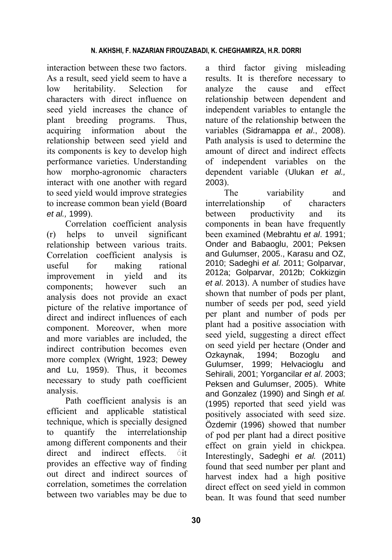interaction between these two factors. As a result, seed yield seem to have a low heritability. Selection for characters with direct influence on seed yield increases the chance of plant breeding programs. Thus, acquiring information about the relationship between seed yield and its components is key to develop high performance varieties. Understanding how morpho-agronomic characters interact with one another with regard to seed yield would improve strategies to increase common bean yield (Board *et al.,* 1999).

Correlation coefficient analysis (r) helps to unveil significant relationship between various traits. Correlation coefficient analysis is useful for making rational improvement in yield and its components; however such an analysis does not provide an exact picture of the relative importance of direct and indirect influences of each component. Moreover, when more and more variables are included, the indirect contribution becomes even more complex (Wright, 1923; Dewey and Lu, 1959). Thus, it becomes necessary to study path coefficient analysis.

Path coefficient analysis is an efficient and applicable statistical technique, which is specially designed to quantify the interrelationship among different components and their direct and indirect effects.  $\circ$  it provides an effective way of finding out direct and indirect sources of correlation, sometimes the correlation between two variables may be due to

a third factor giving misleading results. It is therefore necessary to analyze the cause and effect relationship between dependent and independent variables to entangle the nature of the relationship between the variables (Sidramappa *et al*., 2008). Path analysis is used to determine the amount of direct and indirect effects of independent variables on the dependent variable (Ulukan *et al.,* 2003).

The variability and interrelationship of characters between productivity and its components in bean have frequently been examined (Mebrahtu *et al*. 1991; Onder and Babaoglu, 2001; Peksen and Gulumser, 2005., Karasu and OZ, 2010; Sadeghi *et al.* 2011; Golparvar, 2012a; Golparvar, 2012b; Cokkizgin *et al*. 2013). A number of studies have shown that number of pods per plant, number of seeds per pod, seed yield per plant and number of pods per plant had a positive association with seed yield, suggesting a direct effect on seed yield per hectare (Onder and Ozkaynak, 1994; Bozoglu and Gulumser, 1999; Helvacioglu and Sehirali, 2001; Yorgancilar *et al*. 2003; Peksen and Gulumser, 2005). White and Gonzalez (1990) and Singh *et al.* (1995) reported that seed yield was positively associated with seed size. Özdemir (1996) showed that number of pod per plant had a direct positive effect on grain yield in chickpea. Interestingly, Sadeghi *et al.* (2011) found that seed number per plant and harvest index had a high positive direct effect on seed yield in common bean. It was found that seed number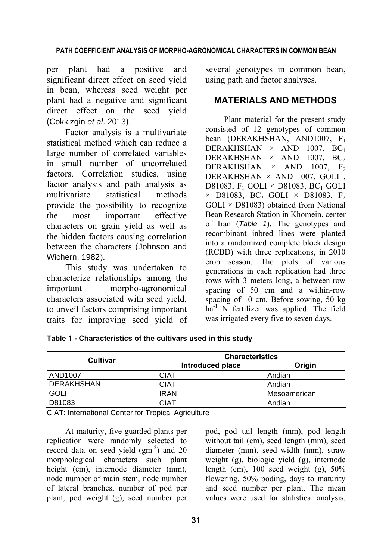### **PATH COEFFICIENT ANALYSIS OF MORPHO-AGRONOMICAL CHARACTERS IN COMMON BEAN**

per plant had a positive and significant direct effect on seed yield in bean, whereas seed weight per plant had a negative and significant direct effect on the seed yield (Cokkizgin *et al*. 2013).

Factor analysis is a multivariate statistical method which can reduce a large number of correlated variables in small number of uncorrelated factors. Correlation studies, using factor analysis and path analysis as multivariate statistical methods provide the possibility to recognize the most important effective characters on grain yield as well as the hidden factors causing correlation between the characters (Johnson and Wichern, 1982).

This study was undertaken to characterize relationships among the important morpho-agronomical characters associated with seed yield, to unveil factors comprising important traits for improving seed yield of several genotypes in common bean, using path and factor analyses.

## **MATERIALS AND METHODS**

Plant material for the present study consisted of 12 genotypes of common bean (DERAKHSHAN, AND1007, F<sub>1</sub> DERAKHSHAN  $\times$  AND 1007, BC<sub>1</sub> DERAKHSHAN  $\times$  AND 1007, BC<sub>2</sub> DERAKHSHAN  $\times$  AND 1007, F<sub>2</sub> DERAKHSHAN × AND 1007, GOLI , D81083,  $F_1$  GOLI  $\times$  D81083, BC<sub>1</sub> GOLI  $\times$  D81083, BC<sub>2</sub> GOLI  $\times$  D81083, F<sub>2</sub>  $GOLI \times D81083$  obtained from National Bean Research Station in Khomein, center of Iran (*Table 1*). The genotypes and recombinant inbred lines were planted into a randomized complete block design (RCBD) with three replications, in 2010 crop season. The plots of various generations in each replication had three rows with 3 meters long, a between-row spacing of 50 cm and a within-row spacing of 10 cm. Before sowing, 50 kg  $ha^{-1}$  N fertilizer was applied. The field was irrigated every five to seven days.

| <b>Cultivar</b>   | <b>Characteristics</b> |              |  |  |
|-------------------|------------------------|--------------|--|--|
|                   | Introduced place       | Origin       |  |  |
| AND1007           | <b>CIAT</b>            | Andian       |  |  |
| <b>DERAKHSHAN</b> | CIAT                   | Andian       |  |  |
| <b>GOLI</b>       | <b>IRAN</b>            | Mesoamerican |  |  |
| D81083            | CIAT                   | Andian       |  |  |

**Table 1 - Characteristics of the cultivars used in this study** 

CIAT: International Center for Tropical Agriculture

At maturity, five guarded plants per replication were randomly selected to record data on seed yield  $(gm<sup>-2</sup>)$  and 20 morphological characters such plant height (cm), internode diameter (mm). node number of main stem, node number of lateral branches, number of pod per plant, pod weight (g), seed number per pod, pod tail length (mm), pod length without tail (cm), seed length (mm), seed diameter (mm), seed width (mm), straw weight (g), biologic yield (g), internode length (cm),  $100 \text{ seed weight (g)}$ ,  $50\%$ flowering, 50% poding, days to maturity and seed number per plant. The mean values were used for statistical analysis.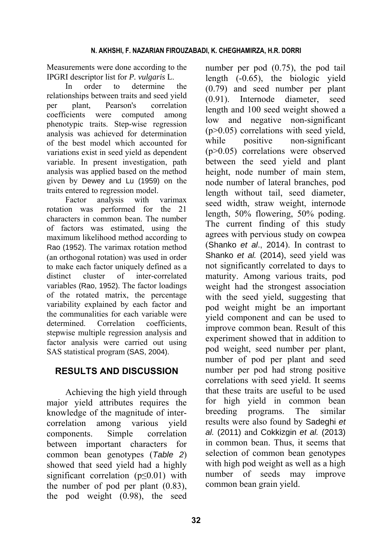Measurements were done according to the IPGRI descriptor list for *P. vulgaris* L.

In order to determine the relationships between traits and seed yield per plant, Pearson's correlation coefficients were computed among phenotypic traits. Step-wise regression analysis was achieved for determination of the best model which accounted for variations exist in seed yield as dependent variable. In present investigation, path analysis was applied based on the method given by Dewey and Lu (1959) on the traits entered to regression model.

Factor analysis with varimax rotation was performed for the 21 characters in common bean. The number of factors was estimated, using the maximum likelihood method according to Rao (1952). The varimax rotation method (an orthogonal rotation) was used in order to make each factor uniquely defined as a distinct cluster of inter-correlated variables (Rao, 1952). The factor loadings of the rotated matrix, the percentage variability explained by each factor and the communalities for each variable were determined. Correlation coefficients. stepwise multiple regression analysis and factor analysis were carried out using SAS statistical program (SAS, 2004).

# **RESULTS AND DISCUSSION**

Achieving the high yield through major yield attributes requires the knowledge of the magnitude of intercorrelation among various yield components. Simple correlation between important characters for common bean genotypes (*Table 2*) showed that seed yield had a highly significant correlation ( $p \le 0.01$ ) with the number of pod per plant (0.83), the pod weight (0.98), the seed number per pod (0.75), the pod tail length (-0.65), the biologic yield (0.79) and seed number per plant (0.91). Internode diameter, seed length and 100 seed weight showed a low and negative non-significant (p>0.05) correlations with seed yield, while positive non-significant (p>0.05) correlations were observed between the seed yield and plant height, node number of main stem, node number of lateral branches, pod length without tail, seed diameter, seed width, straw weight, internode length, 50% flowering, 50% poding. The current finding of this study agrees with pervious study on cowpea (Shanko *et al*., 2014). In contrast to Shanko *et al.* (2014), seed yield was not significantly correlated to days to maturity. Among various traits, pod weight had the strongest association with the seed yield, suggesting that pod weight might be an important yield component and can be used to improve common bean. Result of this experiment showed that in addition to pod weight, seed number per plant, number of pod per plant and seed number per pod had strong positive correlations with seed yield. It seems that these traits are useful to be used for high yield in common bean breeding programs. The similar results were also found by Sadeghi *et al.* (2011) and Cokkizgin *et al.* (2013) in common bean. Thus, it seems that selection of common bean genotypes with high pod weight as well as a high number of seeds may improve common bean grain yield.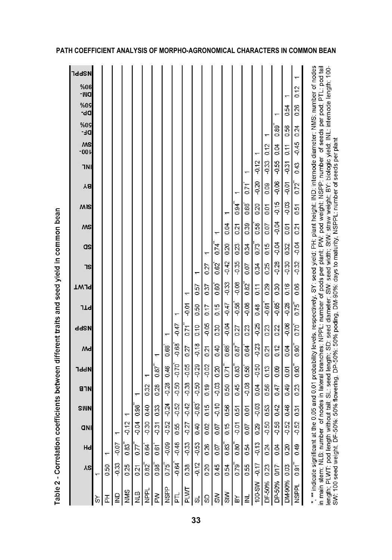| <b>TddSN</b><br>$\overline{ }$<br>%06<br>-MQ<br>0.12<br>۳<br>%09<br>dD-<br>0.26<br>0.54<br>٣<br>90%<br>DE-<br>0.89<br>0.24<br>0.56<br>↽<br>$-0.45$<br>$M$ S<br>-00<br>0.12<br>0.04<br>0.11<br>$-0.33$<br>-0.55<br>$-0.12$<br>$-0.31$<br>0.43<br>1NI<br>↽<br>$-0.06$<br>$-0.20$<br>$-0.01$<br>0.72<br>0.71<br>0.09<br>Ya<br>$0.94$ <sup>#</sup><br>$-0.15$<br>$-0.03$<br>0.66<br>0.20<br>0.01<br>MIS<br>0.51<br>٣<br>$-0.04$<br>0.39<br>0.58<br>0.04<br>0.07<br>0.21<br>0.01<br>0.21<br>MS<br>۳<br>$-0.04$<br>$-0.04$<br>0.74<br>0.73<br>0.15<br>0.32<br>0.20<br>0.23<br>0.34<br>as<br>↽<br>$-0.32$<br>$-0.35$<br>$-0.28$<br>$-0.42$<br>$-0.30$<br>0.25<br>0.34<br>0.62<br>0.07<br>0.27<br>7S<br>$\mathbf{r}$<br>$-0.08$<br>$0.82^{*}$<br>$-0.33$<br>0.30<br>0.06<br>0.60<br>0.29<br>0.16<br>0.57<br>0.11<br>0.37<br><b>TW19</b><br>↽<br>$-0.08$<br>$-0.65$<br>0.75<br>$-0.58$<br>$-0.28$<br>$-0.47$<br>$-0.61$<br>$-0.01$<br>0.48<br>0.50<br>0.15<br>0.17<br><b>TTP</b><br>۳<br>0.05<br>$-0.06$<br>$-0.04$<br>$-0.25$<br>$-0.47$<br>0.10<br>0.70<br>0.23<br>0.23<br>0.22 |
|--------------------------------------------------------------------------------------------------------------------------------------------------------------------------------------------------------------------------------------------------------------------------------------------------------------------------------------------------------------------------------------------------------------------------------------------------------------------------------------------------------------------------------------------------------------------------------------------------------------------------------------------------------------------------------------------------------------------------------------------------------------------------------------------------------------------------------------------------------------------------------------------------------------------------------------------------------------------------------------------------------------------------------------------------------------------------|
|                                                                                                                                                                                                                                                                                                                                                                                                                                                                                                                                                                                                                                                                                                                                                                                                                                                                                                                                                                                                                                                                          |
|                                                                                                                                                                                                                                                                                                                                                                                                                                                                                                                                                                                                                                                                                                                                                                                                                                                                                                                                                                                                                                                                          |
|                                                                                                                                                                                                                                                                                                                                                                                                                                                                                                                                                                                                                                                                                                                                                                                                                                                                                                                                                                                                                                                                          |
|                                                                                                                                                                                                                                                                                                                                                                                                                                                                                                                                                                                                                                                                                                                                                                                                                                                                                                                                                                                                                                                                          |
|                                                                                                                                                                                                                                                                                                                                                                                                                                                                                                                                                                                                                                                                                                                                                                                                                                                                                                                                                                                                                                                                          |
|                                                                                                                                                                                                                                                                                                                                                                                                                                                                                                                                                                                                                                                                                                                                                                                                                                                                                                                                                                                                                                                                          |
|                                                                                                                                                                                                                                                                                                                                                                                                                                                                                                                                                                                                                                                                                                                                                                                                                                                                                                                                                                                                                                                                          |
|                                                                                                                                                                                                                                                                                                                                                                                                                                                                                                                                                                                                                                                                                                                                                                                                                                                                                                                                                                                                                                                                          |
|                                                                                                                                                                                                                                                                                                                                                                                                                                                                                                                                                                                                                                                                                                                                                                                                                                                                                                                                                                                                                                                                          |
|                                                                                                                                                                                                                                                                                                                                                                                                                                                                                                                                                                                                                                                                                                                                                                                                                                                                                                                                                                                                                                                                          |
|                                                                                                                                                                                                                                                                                                                                                                                                                                                                                                                                                                                                                                                                                                                                                                                                                                                                                                                                                                                                                                                                          |
|                                                                                                                                                                                                                                                                                                                                                                                                                                                                                                                                                                                                                                                                                                                                                                                                                                                                                                                                                                                                                                                                          |
|                                                                                                                                                                                                                                                                                                                                                                                                                                                                                                                                                                                                                                                                                                                                                                                                                                                                                                                                                                                                                                                                          |
|                                                                                                                                                                                                                                                                                                                                                                                                                                                                                                                                                                                                                                                                                                                                                                                                                                                                                                                                                                                                                                                                          |
|                                                                                                                                                                                                                                                                                                                                                                                                                                                                                                                                                                                                                                                                                                                                                                                                                                                                                                                                                                                                                                                                          |
|                                                                                                                                                                                                                                                                                                                                                                                                                                                                                                                                                                                                                                                                                                                                                                                                                                                                                                                                                                                                                                                                          |
|                                                                                                                                                                                                                                                                                                                                                                                                                                                                                                                                                                                                                                                                                                                                                                                                                                                                                                                                                                                                                                                                          |
|                                                                                                                                                                                                                                                                                                                                                                                                                                                                                                                                                                                                                                                                                                                                                                                                                                                                                                                                                                                                                                                                          |
|                                                                                                                                                                                                                                                                                                                                                                                                                                                                                                                                                                                                                                                                                                                                                                                                                                                                                                                                                                                                                                                                          |
|                                                                                                                                                                                                                                                                                                                                                                                                                                                                                                                                                                                                                                                                                                                                                                                                                                                                                                                                                                                                                                                                          |
|                                                                                                                                                                                                                                                                                                                                                                                                                                                                                                                                                                                                                                                                                                                                                                                                                                                                                                                                                                                                                                                                          |
|                                                                                                                                                                                                                                                                                                                                                                                                                                                                                                                                                                                                                                                                                                                                                                                                                                                                                                                                                                                                                                                                          |

Table 2 - Correlation coefficients between different traits and seed yield in common bean

## **PATH COEFFICIENT ANALYSIS OF MORPHO-AGRONOMICAL CHARACTERS IN COMMON BEAN**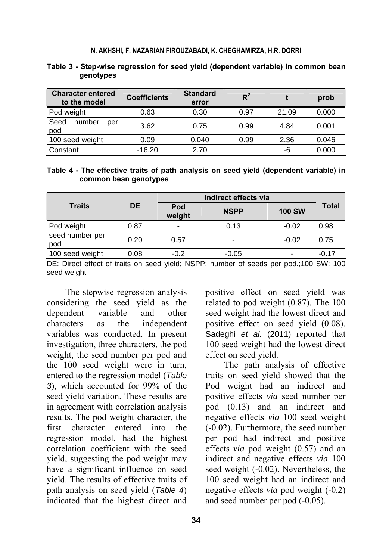#### **N. AKHSHI, F. NAZARIAN FIROUZABADI, K. CHEGHAMIRZA, H.R. DORRI**

| <b>Character entered</b><br>to the model | <b>Coefficients</b> | <b>Standard</b><br>error | $R^2$ |       | prob  |
|------------------------------------------|---------------------|--------------------------|-------|-------|-------|
| Pod weight                               | 0.63                | 0.30                     | 0.97  | 21.09 | 0.000 |
| Seed<br>number<br>per<br>pod             | 3.62                | 0.75                     | 0.99  | 4.84  | 0.001 |
| 100 seed weight                          | 0.09                | 0.040                    | 0.99  | 2.36  | 0.046 |
| Constant                                 | $-16.20$            | 2.70                     |       | -6    | 0.000 |

#### **Table 3 - Step-wise regression for seed yield (dependent variable) in common bean genotypes**

**Table 4 - The effective traits of path analysis on seed yield (dependent variable) in common bean genotypes** 

|                        |           | Indirect effects via     |                          |                          |         |
|------------------------|-----------|--------------------------|--------------------------|--------------------------|---------|
| <b>Traits</b>          | <b>DE</b> | Pod<br>weight            | <b>NSPP</b>              | <b>100 SW</b>            | Total   |
| Pod weight             | 0.87      | $\overline{\phantom{0}}$ | 0.13                     | $-0.02$                  | 0.98    |
| seed number per<br>pod | 0.20      | 0.57                     | $\overline{\phantom{0}}$ | $-0.02$                  | 0.75    |
| 100 seed weight        | 0.08      | $-0.2$                   | $-0.05$                  | $\overline{\phantom{0}}$ | $-0.17$ |

DE: Direct effect of traits on seed yield; NSPP: number of seeds per pod.;100 SW: 100 seed weight

The stepwise regression analysis considering the seed yield as the dependent variable and other characters as the independent variables was conducted. In present investigation, three characters, the pod weight, the seed number per pod and the 100 seed weight were in turn, entered to the regression model (*Table 3*), which accounted for 99% of the seed yield variation. These results are in agreement with correlation analysis results. The pod weight character, the first character entered into the regression model, had the highest correlation coefficient with the seed yield, suggesting the pod weight may have a significant influence on seed yield. The results of effective traits of path analysis on seed yield (*Table 4*) indicated that the highest direct and positive effect on seed yield was related to pod weight (0.87). The 100 seed weight had the lowest direct and positive effect on seed yield (0.08). Sadeghi *et al.* (2011) reported that 100 seed weight had the lowest direct effect on seed yield.

The path analysis of effective traits on seed yield showed that the Pod weight had an indirect and positive effects *via* seed number per pod (0.13) and an indirect and negative effects *via* 100 seed weight (-0.02). Furthermore, the seed number per pod had indirect and positive effects *via* pod weight (0.57) and an indirect and negative effects *via* 100 seed weight (-0.02). Nevertheless, the 100 seed weight had an indirect and negative effects *via* pod weight (-0.2) and seed number per pod (-0.05).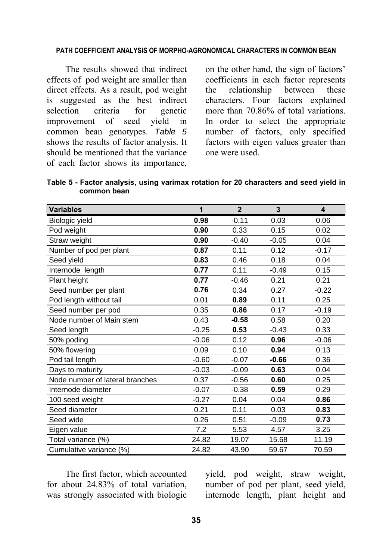#### **PATH COEFFICIENT ANALYSIS OF MORPHO-AGRONOMICAL CHARACTERS IN COMMON BEAN**

The results showed that indirect effects of pod weight are smaller than direct effects. As a result, pod weight is suggested as the best indirect selection criteria for genetic improvement of seed yield in common bean genotypes. *Table 5* shows the results of factor analysis. It should be mentioned that the variance of each factor shows its importance,

on the other hand, the sign of factors' coefficients in each factor represents the relationship between these characters. Four factors explained more than 70.86% of total variations. In order to select the appropriate number of factors, only specified factors with eigen values greater than one were used.

**Table 5 - Factor analysis, using varimax rotation for 20 characters and seed yield in common bean** 

| <b>Variables</b>                | 1       | $\overline{2}$ | 3       | 4       |
|---------------------------------|---------|----------------|---------|---------|
| Biologic yield                  | 0.98    | $-0.11$        | 0.03    | 0.06    |
| Pod weight                      | 0.90    | 0.33           | 0.15    | 0.02    |
| Straw weight                    | 0.90    | $-0.40$        | $-0.05$ | 0.04    |
| Number of pod per plant         | 0.87    | 0.11           | 0.12    | $-0.17$ |
| Seed yield                      | 0.83    | 0.46           | 0.18    | 0.04    |
| Internode length                | 0.77    | 0.11           | $-0.49$ | 0.15    |
| Plant height                    | 0.77    | $-0.46$        | 0.21    | 0.21    |
| Seed number per plant           | 0.76    | 0.34           | 0.27    | $-0.22$ |
| Pod length without tail         | 0.01    | 0.89           | 0.11    | 0.25    |
| Seed number per pod             | 0.35    | 0.86           | 0.17    | $-0.19$ |
| Node number of Main stem        | 0.43    | $-0.58$        | 0.58    | 0.20    |
| Seed length                     | $-0.25$ | 0.53           | $-0.43$ | 0.33    |
| 50% poding                      | $-0.06$ | 0.12           | 0.96    | $-0.06$ |
| 50% flowering                   | 0.09    | 0.10           | 0.94    | 0.13    |
| Pod tail length                 | $-0.60$ | $-0.07$        | -0.66   | 0.36    |
| Days to maturity                | $-0.03$ | $-0.09$        | 0.63    | 0.04    |
| Node number of lateral branches | 0.37    | $-0.56$        | 0.60    | 0.25    |
| Internode diameter              | $-0.07$ | $-0.38$        | 0.59    | 0.29    |
| 100 seed weight                 | $-0.27$ | 0.04           | 0.04    | 0.86    |
| Seed diameter                   | 0.21    | 0.11           | 0.03    | 0.83    |
| Seed wide                       | 0.26    | 0.51           | $-0.09$ | 0.73    |
| Eigen value                     | 7.2     | 5.53           | 4.57    | 3.25    |
| Total variance (%)              | 24.82   | 19.07          | 15.68   | 11.19   |
| Cumulative variance (%)         | 24.82   | 43.90          | 59.67   | 70.59   |

The first factor, which accounted for about 24.83% of total variation, was strongly associated with biologic

yield, pod weight, straw weight, number of pod per plant, seed yield, internode length, plant height and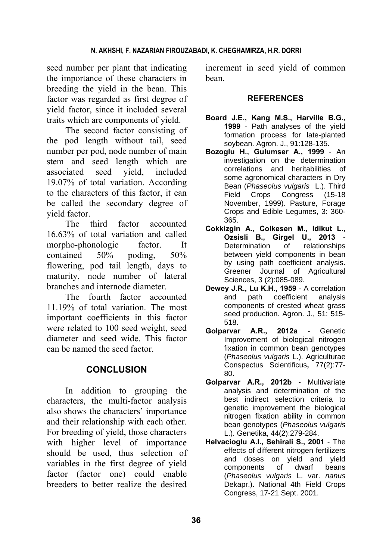### **N. AKHSHI, F. NAZARIAN FIROUZABADI, K. CHEGHAMIRZA, H.R. DORRI**

seed number per plant that indicating the importance of these characters in breeding the yield in the bean. This factor was regarded as first degree of yield factor, since it included several traits which are components of yield.

The second factor consisting of the pod length without tail, seed number per pod, node number of main stem and seed length which are associated seed yield, included 19.07% of total variation. According to the characters of this factor, it can be called the secondary degree of yield factor.

The third factor accounted 16.63% of total variation and called morpho-phonologic factor. It contained 50% poding, 50% flowering, pod tail length, days to maturity, node number of lateral branches and internode diameter.

The fourth factor accounted 11.19% of total variation. The most important coefficients in this factor were related to 100 seed weight, seed diameter and seed wide. This factor can be named the seed factor.

# **CONCLUSION**

In addition to grouping the characters, the multi-factor analysis also shows the characters' importance and their relationship with each other. For breeding of yield, those characters with higher level of importance should be used, thus selection of variables in the first degree of yield factor (factor one) could enable breeders to better realize the desired

increment in seed yield of common bean.

### **REFERENCES**

- **Board J.E., Kang M.S., Harville B.G., 1999** - Path analyses of the yield formation process for late-planted soybean. Agron. J., 91:128-135.
- **Bozoglu H., Gulumser A., 1999** An investigation on the determination correlations and heritabilities of some agronomical characters in Dry Bean (*Phaseolus vulgaris* L.). Third Field Crops Congress (15-18 November, 1999). Pasture, Forage Crops and Edible Legumes, 3: 360- 365.
- **Cokkizgin A., Colkesen M., Idikut L., Ozsisli B., Girgel U., 2013** - Determination of relationships between yield components in bean by using path coefficient analysis. Greener Journal of Agricultural Sciences, 3 (2):085-089.
- **Dewey J.R., Lu K.H., 1959** A correlation and path coefficient analysis components of crested wheat grass seed production. Agron. J., 51: 515- 518.
- **Golparvar A.R., 2012a** Genetic Improvement of biological nitrogen fixation in common bean genotypes (*Phaseolus vulgaris* L.). Agriculturae Conspectus Scientificus**,** 77(2):77- 80.
- **Golparvar A.R., 2012b** Multivariate analysis and determination of the best indirect selection criteria to genetic improvement the biological nitrogen fixation ability in common bean genotypes (*Phaseolus vulgaris* L.). Genetika, 44(2):279-284.
- **Helvacioglu A.I., Sehirali S., 2001** The effects of different nitrogen fertilizers and doses on yield and yield components of dwarf beans (*Phaseolus vulgaris* L. var. *nanus*  Dekapr.). National 4th Field Crops Congress, 17-21 Sept. 2001.